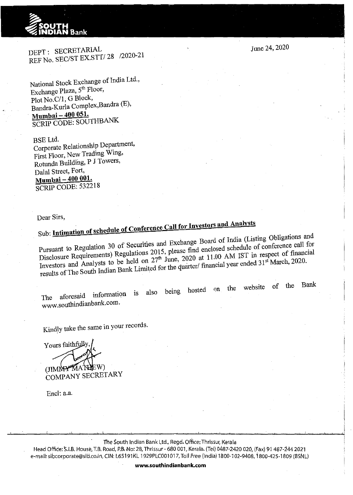## ~ Bank

DEPT: SECRETARIAL REF No. SEC/ST EX.STT/ 28 /2020-21

National Stock Exchange of India Ltd., Exchange Plaza, 5<sup>th</sup> Floor, Plot No.C/1, G Block, Bandra-Kurla Complex,Bandra (E), · **Mumbai- 400 051.**  SCRIP CODE: SOUTHBANK

BSE Ltd. Corporate Relationship Department, First Floor, New Trading Wing, Rotunda Building, P J Towers, Dalal Street, Fort, **Mumbai- 400 001.**  SCRIP CODE: 532218

Dear Sirs,

## Sub: **Intimation of schedule of Conference Call for Investors and Analysts**

Pursuant to Regulation 30 of Securities and Exchange Board of India (Listing Obligations and Disclosure Requirements) Regulations 2015, please find enclosed schedule of conference call for Investors and Analysts to be held on 27<sup>th</sup> June, 2020 at 11.00 AM IST in respect of financial results of The South Indian Bank Limited for the quarter/ financial year ended 31<sup>st</sup> March, 2020.

The aforesaid information is also being hosted on the website of the www.southindianbank.com.

Kindly take the same in your records.

Yours faithfully (JIMNY MAN

COMPANY SECRETARY

Encl: a.a.

The South Indian Bank Ltd., Regd. Office: Thrissur, Kerala

Head Office: S.I.B. House, T.B. Road, P.B. No: 28, Thrissur - 680 001, Kerala. (Tel) 0487-2420 020, (Fax) 91 487-244 2021 e-mail: sibcorporate@sib.co.in, CIN: L65191KL 1929PLC001017, Toll Free (India) 1800-102-9408, 1800-425-1809 (BSNL)

June 24, 2020

Bank

www.southindianbank.com